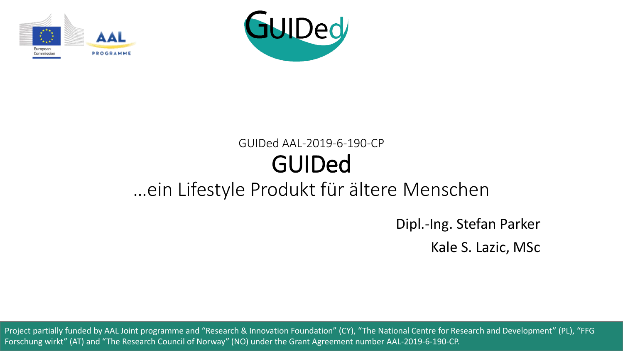



#### GUIDed AAL-2019-6-190-CP GUIDed …ein Lifestyle Produkt für ältere Menschen

Dipl.-Ing. Stefan Parker

Kale S. Lazic, MSc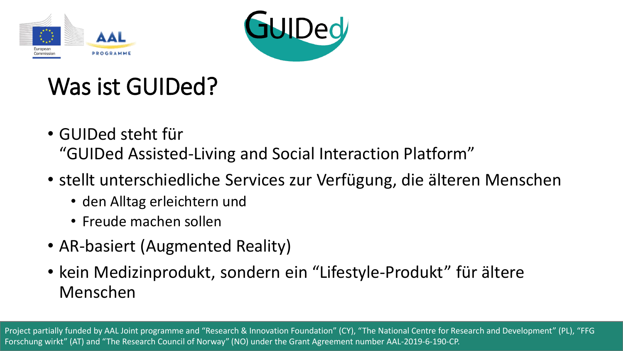



## Was ist GUIDed?

- GUIDed steht für "GUIDed Assisted-Living and Social Interaction Platform"
- stellt unterschiedliche Services zur Verfügung, die älteren Menschen
	- den Alltag erleichtern und
	- Freude machen sollen
- AR-basiert (Augmented Reality)
- kein Medizinprodukt, sondern ein "Lifestyle-Produkt" für ältere Menschen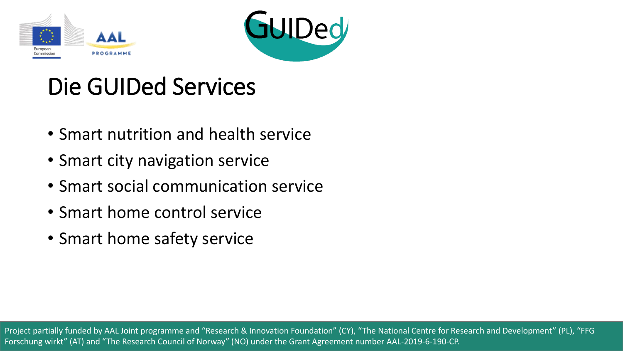



### Die GUIDed Services

- Smart nutrition and health service
- Smart city navigation service
- Smart social communication service
- Smart home control service
- Smart home safety service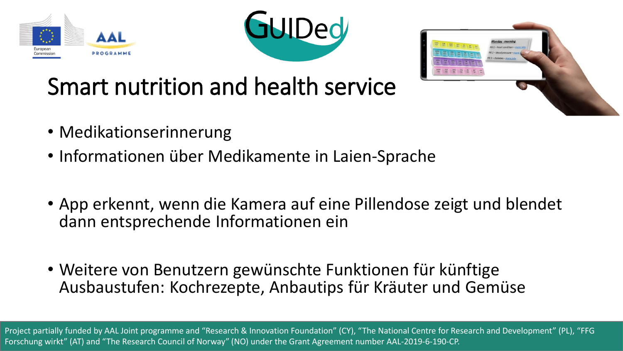





# Smart nutrition and health service

- Medikationserinnerung
- Informationen über Medikamente in Laien-Sprache
- App erkennt, wenn die Kamera auf eine Pillendose zeigt und blendet dann entsprechende Informationen ein
- Weitere von Benutzern gewünschte Funktionen für künftige Ausbaustufen: Kochrezepte, Anbautips für Kräuter und Gemüse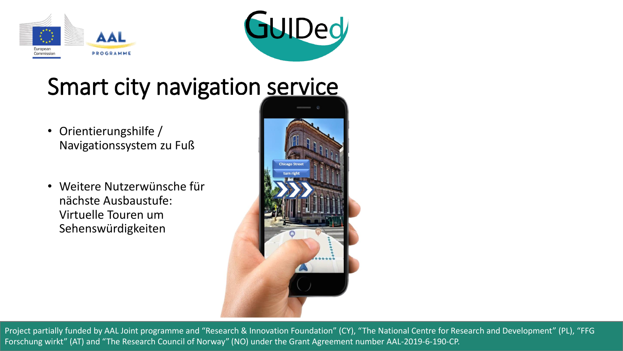



### Smart city navigation service

- Orientierungshilfe / Navigationssystem zu Fuß
- Weitere Nutzerwünsche für nächste Ausbaustufe: Virtuelle Touren um Sehenswürdigkeiten

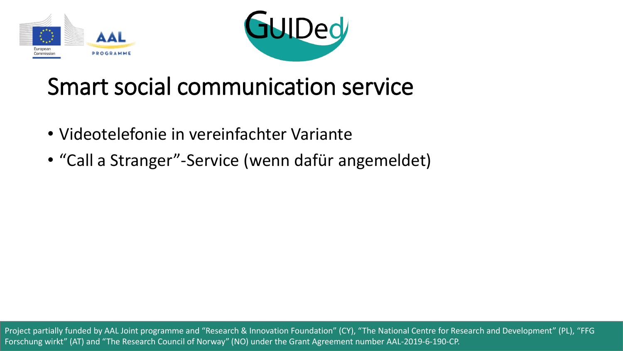



### Smart social communication service

- Videotelefonie in vereinfachter Variante
- "Call a Stranger"-Service (wenn dafür angemeldet)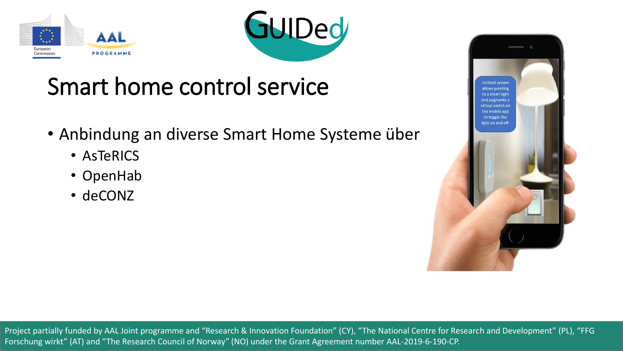



## Smart home control service

- Anbindung an diverse Smart Home Systeme über
	- AsTeRICS
	- OpenHab
	- deCONZ

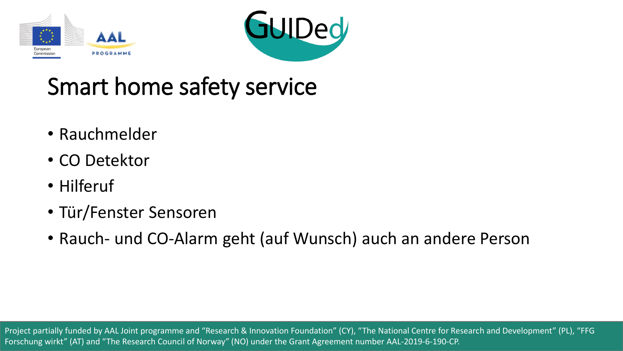



## Smart home safety service

- Rauchmelder
- CO Detektor
- Hilferuf
- Tür/Fenster Sensoren
- Rauch- und CO-Alarm geht (auf Wunsch) auch an andere Person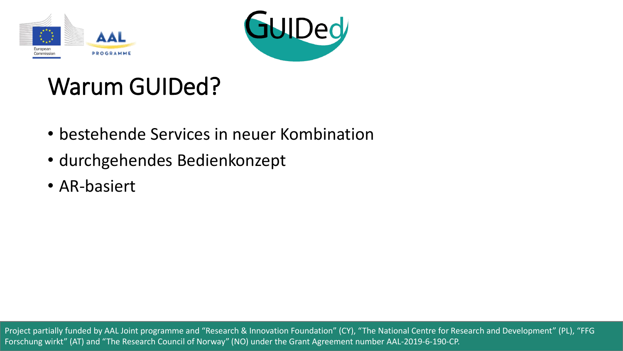



## Warum GUIDed?

- bestehende Services in neuer Kombination
- durchgehendes Bedienkonzept
- AR-basiert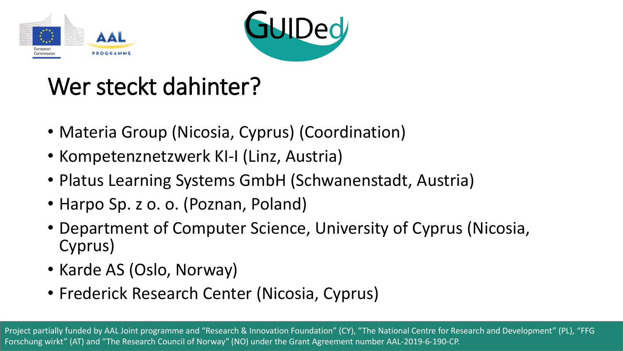



## Wer steckt dahinter?

- Materia Group (Nicosia, Cyprus) (Coordination)
- Kompetenznetzwerk KI-I (Linz, Austria)
- Platus Learning Systems GmbH (Schwanenstadt, Austria)
- Harpo Sp. z o. o. (Poznan, Poland)
- Department of Computer Science, University of Cyprus (Nicosia, Cyprus)
- Karde AS (Oslo, Norway)
- Frederick Research Center (Nicosia, Cyprus)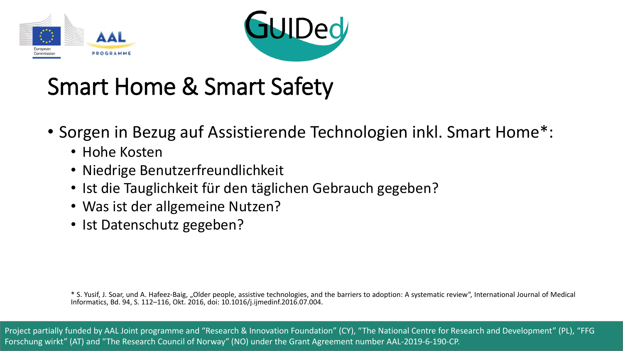



- Sorgen in Bezug auf Assistierende Technologien inkl. Smart Home\*:
	- Hohe Kosten
	- Niedrige Benutzerfreundlichkeit
	- Ist die Tauglichkeit für den täglichen Gebrauch gegeben?
	- Was ist der allgemeine Nutzen?
	- Ist Datenschutz gegeben?

\* S. Yusif, J. Soar, und A. Hafeez-Baig, "Older people, assistive technologies, and the barriers to adoption: A systematic review", International Journal of Medical Informatics, Bd. 94, S. 112–116, Okt. 2016, doi: 10.1016/j.ijmedinf.2016.07.004.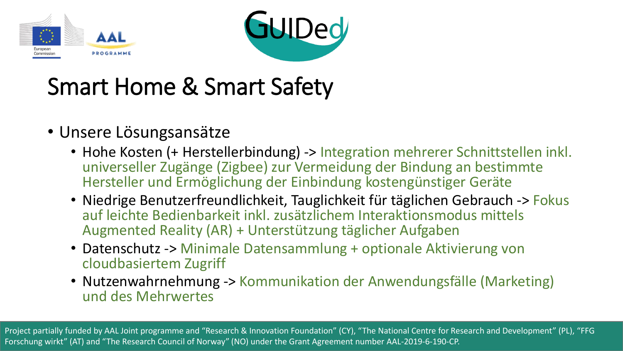



#### • Unsere Lösungsansätze

- Hohe Kosten (+ Herstellerbindung) -> Integration mehrerer Schnittstellen inkl. universeller Zugänge (Zigbee) zur Vermeidung der Bindung an bestimmte Hersteller und Ermöglichung der Einbindung kostengünstiger Geräte
- Niedrige Benutzerfreundlichkeit, Tauglichkeit für täglichen Gebrauch -> Fokus auf leichte Bedienbarkeit inkl. zusätzlichem Interaktionsmodus mittels Augmented Reality (AR) + Unterstützung täglicher Aufgaben
- Datenschutz -> Minimale Datensammlung + optionale Aktivierung von cloudbasiertem Zugriff
- Nutzenwahrnehmung -> Kommunikation der Anwendungsfälle (Marketing) und des Mehrwertes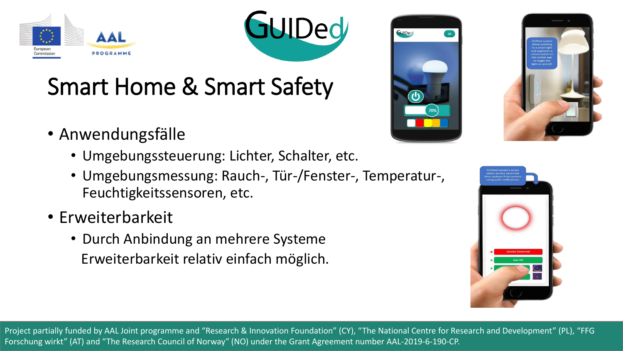



- Anwendungsfälle
	- Umgebungssteuerung: Lichter, Schalter, etc.
	- Umgebungsmessung: Rauch-, Tür-/Fenster-, Temperatur-, Feuchtigkeitssensoren, etc.
- Erweiterbarkeit
	- Durch Anbindung an mehrere Systeme Erweiterbarkeit relativ einfach möglich.





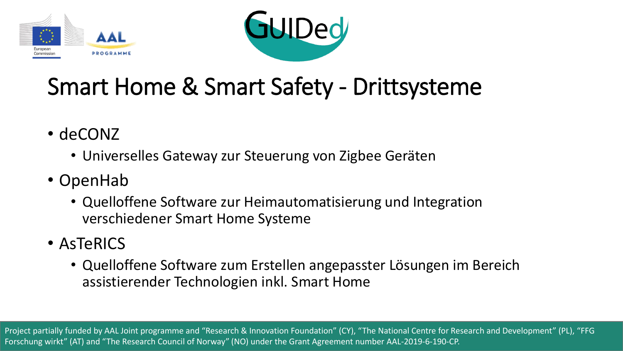



### Smart Home & Smart Safety - Drittsysteme

- deCONZ
	- Universelles Gateway zur Steuerung von Zigbee Geräten
- OpenHab
	- Quelloffene Software zur Heimautomatisierung und Integration verschiedener Smart Home Systeme
- AsTeRICS
	- Quelloffene Software zum Erstellen angepasster Lösungen im Bereich assistierender Technologien inkl. Smart Home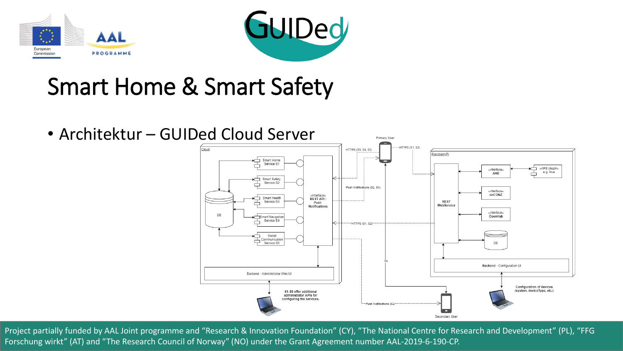



• Architektur – GUIDed Cloud Server

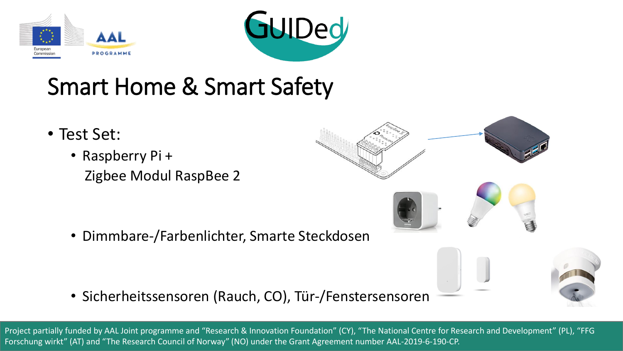



- Test Set:
	- Raspberry Pi + Zigbee Modul RaspBee 2

• Dimmbare-/Farbenlichter, Smarte Steckdosen

• Sicherheitssensoren (Rauch, CO), Tür-/Fenstersensoren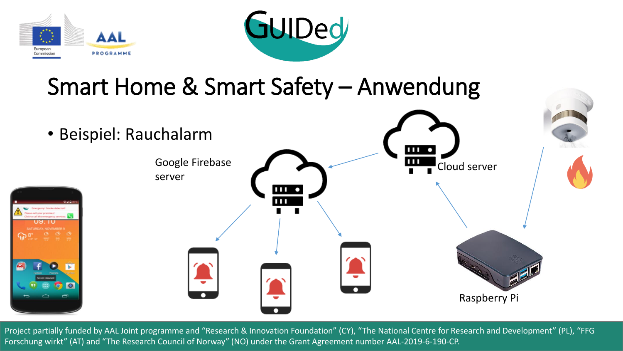



### Smart Home & Smart Safety – Anwendung

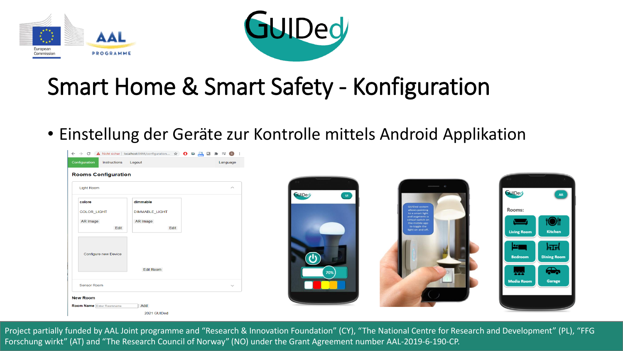



## Smart Home & Smart Safety - Konfiguration

• Einstellung der Geräte zur Kontrolle mittels Android Applikation

| $\leftarrow$ $\rightarrow$ C         | A Nicht sicher   localhost:8444/configuration ☆ ● © © <mark>G M →</mark> E ● : |                    |
|--------------------------------------|--------------------------------------------------------------------------------|--------------------|
| Configuration<br>Instructions Logout |                                                                                | Language           |
| <b>Rooms Configuration</b>           |                                                                                |                    |
| <b>Light Room</b>                    |                                                                                | $\curvearrowright$ |
| colore                               | dimmable                                                                       |                    |
| COLOR_LIGHT                          | <b>DIMMABLE_LIGHT</b>                                                          |                    |
| AR Image                             | AR Image                                                                       |                    |
| Edit                                 | Edit                                                                           |                    |
|                                      |                                                                                |                    |
| Configure new Device                 |                                                                                |                    |
|                                      | <b>Edit Room</b>                                                               |                    |
|                                      |                                                                                |                    |
| <b>Sensor Room</b>                   |                                                                                | $\checkmark$       |
| <b>New Room</b>                      |                                                                                |                    |
| <b>Room Name Enter Roomname</b>      | Add                                                                            |                    |
|                                      | 2021 GUIDed                                                                    |                    |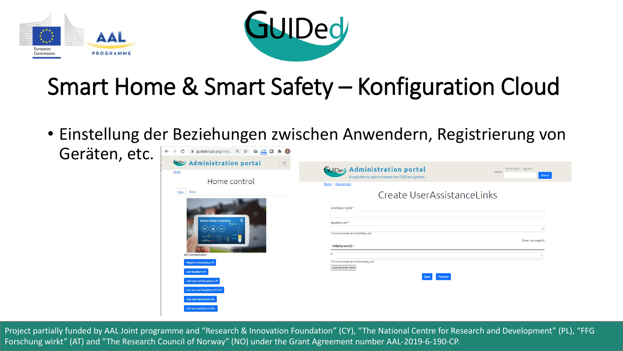



## Smart Home & Smart Safety – Konfiguration Cloud

• Einstellung der Beziehungen zwischen Anwendern, Registrierung von

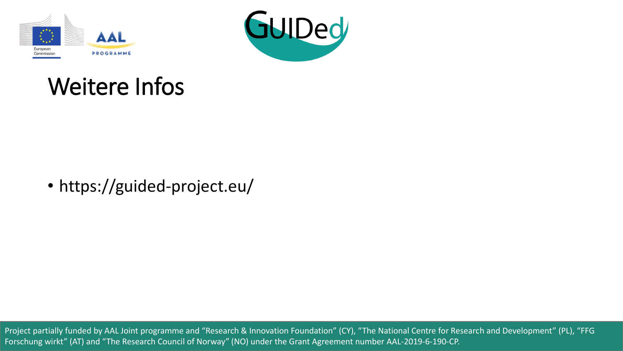



### Weitere Infos

• https://guided-project.eu/